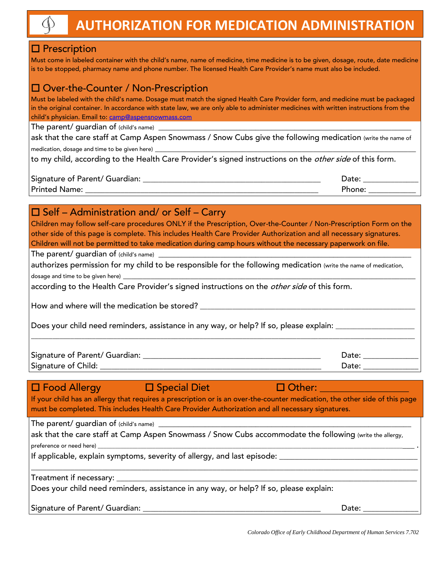# **AUTHORIZATION FOR MEDICATION ADMINISTRATION**

#### $\square$  Prescription

Must come in labeled container with the child's name, name of medicine, time medicine is to be given, dosage, route, date medicine is to be stopped, pharmacy name and phone number. The licensed Health Care Provider's name must also be included.

### □ Over-the-Counter / Non-Prescription

Must be labeled with the child's name. Dosage must match the signed Health Care Provider form, and medicine must be packaged in the original container. In accordance with state law, we are only able to administer medicines with written instructions from the child's physician. Email to: [camp@aspensnowmass.com](mailto:camp@aspensnowmass.com)

The parent/ guardian of (child's name)

ask that the care staff at Camp Aspen Snowmass / Snow Cubs give the following medication (write the name of medication, dosage and time to be given here) \_

to my child, according to the Health Care Provider's signed instructions on the *other side* of this form.

| Signature of Parent/ Guardian: | 'Jate. |
|--------------------------------|--------|
| <b>Printed Name:</b>           | Phone∵ |

#### $\square$  Self – Administration and/ or Self – Carry

Children may follow self-care procedures ONLY if the Prescription, Over-the-Counter / Non-Prescription Form on the other side of this page is complete. This includes Health Care Provider Authorization and all necessary signatures. Children will not be permitted to take medication during camp hours without the necessary paperwork on file.

The parent/ guardian of (child's name) \_\_\_\_\_\_\_\_\_\_\_\_\_\_\_\_\_\_\_\_\_\_\_\_\_\_\_\_\_\_\_\_\_\_\_\_\_\_\_\_\_\_\_\_\_\_\_\_\_\_\_\_\_\_\_\_\_\_\_\_\_\_\_\_\_

authorizes permission for my child to be responsible for the following medication (write the name of medication, dosage and time to be given here) \_\_\_\_\_\_\_\_\_\_\_\_\_\_\_\_\_\_\_\_\_\_\_\_\_\_\_\_\_\_\_\_\_\_\_\_\_\_\_\_\_\_\_\_\_\_\_\_\_\_\_\_\_\_\_\_\_\_\_\_\_\_\_\_\_\_\_\_\_\_\_\_\_\_

according to the Health Care Provider's signed instructions on the *other side* of this form.

How and where will the medication be stored? \_\_\_\_\_\_\_\_\_\_\_\_\_\_\_\_\_\_\_\_\_\_\_\_\_\_\_\_\_\_\_\_\_\_\_\_\_\_\_\_\_\_\_\_\_\_\_\_\_\_\_\_\_\_\_\_\_\_\_\_

Does your child need reminders, assistance in any way, or help? If so, please explain: \_\_\_\_\_\_\_\_\_\_\_\_\_

| Signature of Parent/ Guardian: | Jate |  |
|--------------------------------|------|--|
| Signature of Child:            | ہ+د۱ |  |

#### $\square$  Food Allergy  $\square$  Special Diet  $\square$  Other:

If your child has an allergy that requires a prescription or is an over-the-counter medication, the other side of this page must be completed. This includes Health Care Provider Authorization and all necessary signatures.

\_\_\_\_\_\_\_\_\_\_\_\_\_\_\_\_\_\_\_\_\_\_\_\_\_\_\_\_\_\_\_\_\_\_\_\_\_\_\_\_\_\_\_\_\_\_\_\_\_\_\_\_\_\_\_\_\_\_\_\_\_\_\_\_\_\_\_\_\_\_\_\_\_\_\_\_\_\_\_\_\_\_\_\_\_\_\_\_\_\_\_\_\_\_\_\_\_\_

\_\_\_\_\_\_\_\_\_\_\_\_\_\_\_\_\_\_\_\_\_\_\_\_\_\_\_\_\_\_\_\_\_\_\_\_\_\_\_\_\_\_\_\_\_\_\_\_\_\_\_\_\_\_\_\_\_\_\_\_\_\_\_\_\_\_\_\_\_\_\_\_\_\_\_\_\_\_\_\_\_\_\_\_\_\_\_\_\_\_\_\_\_\_\_\_\_\_\_\_\_\_\_\_\_\_\_

The parent/ guardian of  $(child's name)$ 

ask that the care staff at Camp Aspen Snowmass / Snow Cubs accommodate the following (write the allergy, preference or need here)

If applicable, explain symptoms, severity of allergy, and last episode: \_\_\_\_\_\_\_\_\_\_\_\_\_\_\_\_\_\_\_\_\_\_\_\_\_\_\_\_\_\_\_\_\_\_\_

Treatment if necessary: \_\_\_\_\_\_\_\_\_\_\_\_\_\_\_\_\_\_\_\_\_\_\_\_\_\_\_\_\_\_\_\_\_\_\_\_\_\_\_\_\_\_\_\_\_\_\_\_\_\_\_\_\_\_\_\_\_\_\_\_\_\_\_\_\_\_\_\_\_\_\_\_\_\_\_\_

Does your child need reminders, assistance in any way, or help? If so, please explain:

Signature of Parent/ Guardian: \_\_\_\_\_\_\_\_\_\_\_\_\_\_\_\_\_\_\_\_\_\_\_\_\_\_\_\_\_\_\_\_\_\_\_\_\_\_\_\_\_\_\_\_\_ Date: \_\_\_\_\_\_\_\_\_\_\_\_\_\_